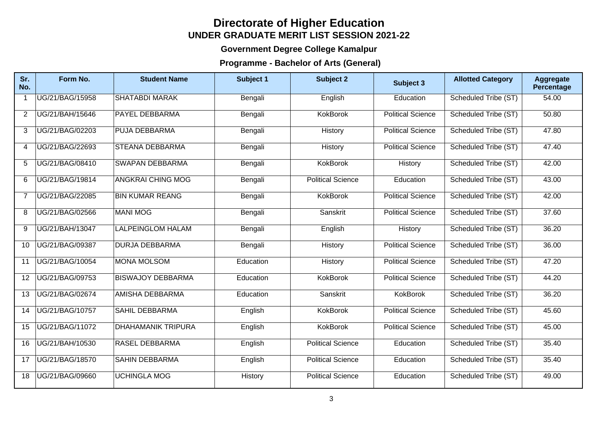## **Directorate of Higher Education UNDER GRADUATE MERIT LIST SESSION 2021-22**

## **Government Degree College Kamalpur**

## **Programme - Bachelor of Arts (General)**

| Sr.<br>No.       | Form No.        | <b>Student Name</b>       | Subject 1 | <b>Subject 2</b>         | Subject 3                | <b>Allotted Category</b> | <b>Aggregate</b><br>Percentage |
|------------------|-----------------|---------------------------|-----------|--------------------------|--------------------------|--------------------------|--------------------------------|
|                  | UG/21/BAG/15958 | <b>SHATABDI MARAK</b>     | Bengali   | English                  | Education                | Scheduled Tribe (ST)     | 54.00                          |
| 2                | UG/21/BAH/15646 | <b>PAYEL DEBBARMA</b>     | Bengali   | <b>KokBorok</b>          | <b>Political Science</b> | Scheduled Tribe (ST)     | 50.80                          |
| 3                | UG/21/BAG/02203 | <b>PUJA DEBBARMA</b>      | Bengali   | History                  | <b>Political Science</b> | Scheduled Tribe (ST)     | 47.80                          |
| $\boldsymbol{4}$ | UG/21/BAG/22693 | <b>STEANA DEBBARMA</b>    | Bengali   | History                  | <b>Political Science</b> | Scheduled Tribe (ST)     | 47.40                          |
| 5                | UG/21/BAG/08410 | <b>SWAPAN DEBBARMA</b>    | Bengali   | <b>KokBorok</b>          | History                  | Scheduled Tribe (ST)     | 42.00                          |
| 6                | UG/21/BAG/19814 | <b>ANGKRAI CHING MOG</b>  | Bengali   | <b>Political Science</b> | Education                | Scheduled Tribe (ST)     | 43.00                          |
| 7                | UG/21/BAG/22085 | <b>BIN KUMAR REANG</b>    | Bengali   | KokBorok                 | <b>Political Science</b> | Scheduled Tribe (ST)     | 42.00                          |
| 8                | UG/21/BAG/02566 | <b>MANI MOG</b>           | Bengali   | Sanskrit                 | <b>Political Science</b> | Scheduled Tribe (ST)     | 37.60                          |
| 9                | UG/21/BAH/13047 | <b>LALPEINGLOM HALAM</b>  | Bengali   | English                  | History                  | Scheduled Tribe (ST)     | 36.20                          |
| 10               | UG/21/BAG/09387 | <b>DURJA DEBBARMA</b>     | Bengali   | History                  | <b>Political Science</b> | Scheduled Tribe (ST)     | 36.00                          |
| 11               | UG/21/BAG/10054 | <b>MONA MOLSOM</b>        | Education | <b>History</b>           | <b>Political Science</b> | Scheduled Tribe (ST)     | 47.20                          |
| 12               | UG/21/BAG/09753 | <b>BISWAJOY DEBBARMA</b>  | Education | <b>KokBorok</b>          | <b>Political Science</b> | Scheduled Tribe (ST)     | 44.20                          |
| 13               | UG/21/BAG/02674 | <b>AMISHA DEBBARMA</b>    | Education | Sanskrit                 | <b>KokBorok</b>          | Scheduled Tribe (ST)     | 36.20                          |
| 14               | UG/21/BAG/10757 | <b>SAHIL DEBBARMA</b>     | English   | <b>KokBorok</b>          | <b>Political Science</b> | Scheduled Tribe (ST)     | 45.60                          |
| 15               | UG/21/BAG/11072 | <b>DHAHAMANIK TRIPURA</b> | English   | <b>KokBorok</b>          | <b>Political Science</b> | Scheduled Tribe (ST)     | 45.00                          |
| 16               | UG/21/BAH/10530 | <b>RASEL DEBBARMA</b>     | English   | <b>Political Science</b> | Education                | Scheduled Tribe (ST)     | 35.40                          |
| 17               | UG/21/BAG/18570 | <b>SAHIN DEBBARMA</b>     | English   | <b>Political Science</b> | Education                | Scheduled Tribe (ST)     | 35.40                          |
| 18               | UG/21/BAG/09660 | <b>UCHINGLA MOG</b>       | History   | <b>Political Science</b> | Education                | Scheduled Tribe (ST)     | 49.00                          |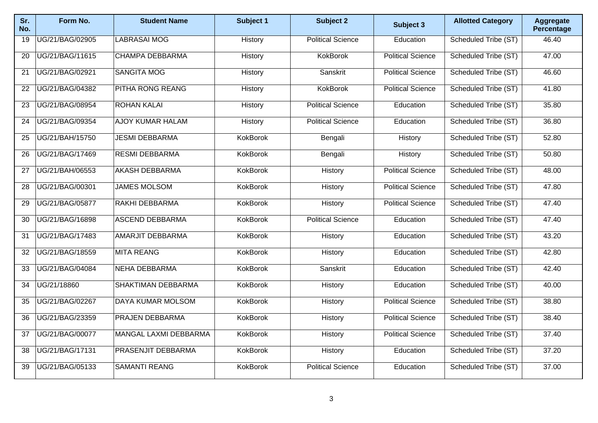| Sr.<br>No.      | Form No.        | <b>Student Name</b>          | Subject 1       | <b>Subject 2</b>         | Subject 3                | <b>Allotted Category</b> | <b>Aggregate</b><br>Percentage |
|-----------------|-----------------|------------------------------|-----------------|--------------------------|--------------------------|--------------------------|--------------------------------|
| 19              | UG/21/BAG/02905 | <b>LABRASAI MOG</b>          | History         | <b>Political Science</b> | Education                | Scheduled Tribe (ST)     | 46.40                          |
| $\overline{20}$ | UG/21/BAG/11615 | <b>CHAMPA DEBBARMA</b>       | History         | <b>KokBorok</b>          | <b>Political Science</b> | Scheduled Tribe (ST)     | 47.00                          |
| 21              | UG/21/BAG/02921 | <b>SANGITA MOG</b>           | History         | Sanskrit                 | <b>Political Science</b> | Scheduled Tribe (ST)     | 46.60                          |
| 22              | UG/21/BAG/04382 | PITHA RONG REANG             | History         | <b>KokBorok</b>          | <b>Political Science</b> | Scheduled Tribe (ST)     | 41.80                          |
| $\overline{23}$ | UG/21/BAG/08954 | <b>ROHAN KALAI</b>           | History         | <b>Political Science</b> | Education                | Scheduled Tribe (ST)     | 35.80                          |
| 24              | UG/21/BAG/09354 | <b>AJOY KUMAR HALAM</b>      | History         | <b>Political Science</b> | Education                | Scheduled Tribe (ST)     | 36.80                          |
| 25              | UG/21/BAH/15750 | <b>JESMI DEBBARMA</b>        | <b>KokBorok</b> | Bengali                  | History                  | Scheduled Tribe (ST)     | 52.80                          |
| 26              | UG/21/BAG/17469 | <b>RESMI DEBBARMA</b>        | <b>KokBorok</b> | Bengali                  | History                  | Scheduled Tribe (ST)     | 50.80                          |
| 27              | UG/21/BAH/06553 | <b>AKASH DEBBARMA</b>        | <b>KokBorok</b> | History                  | <b>Political Science</b> | Scheduled Tribe (ST)     | 48.00                          |
| 28              | UG/21/BAG/00301 | <b>JAMES MOLSOM</b>          | <b>KokBorok</b> | History                  | <b>Political Science</b> | Scheduled Tribe (ST)     | 47.80                          |
| 29              | UG/21/BAG/05877 | RAKHI DEBBARMA               | <b>KokBorok</b> | History                  | <b>Political Science</b> | Scheduled Tribe (ST)     | 47.40                          |
| 30              | UG/21/BAG/16898 | <b>ASCEND DEBBARMA</b>       | <b>KokBorok</b> | <b>Political Science</b> | Education                | Scheduled Tribe (ST)     | 47.40                          |
| $\overline{31}$ | UG/21/BAG/17483 | <b>AMARJIT DEBBARMA</b>      | <b>KokBorok</b> | History                  | Education                | Scheduled Tribe (ST)     | 43.20                          |
| 32              | UG/21/BAG/18559 | <b>MITA REANG</b>            | <b>KokBorok</b> | History                  | Education                | Scheduled Tribe (ST)     | 42.80                          |
| 33              | UG/21/BAG/04084 | <b>NEHA DEBBARMA</b>         | <b>KokBorok</b> | Sanskrit                 | Education                | Scheduled Tribe (ST)     | 42.40                          |
| 34              | UG/21/18860     | <b>SHAKTIMAN DEBBARMA</b>    | <b>KokBorok</b> | History                  | Education                | Scheduled Tribe (ST)     | 40.00                          |
| 35              | UG/21/BAG/02267 | <b>DAYA KUMAR MOLSOM</b>     | <b>KokBorok</b> | History                  | <b>Political Science</b> | Scheduled Tribe (ST)     | 38.80                          |
| 36              | UG/21/BAG/23359 | <b>PRAJEN DEBBARMA</b>       | <b>KokBorok</b> | History                  | <b>Political Science</b> | Scheduled Tribe (ST)     | 38.40                          |
| 37              | UG/21/BAG/00077 | <b>MANGAL LAXMI DEBBARMA</b> | <b>KokBorok</b> | History                  | <b>Political Science</b> | Scheduled Tribe (ST)     | 37.40                          |
| 38              | UG/21/BAG/17131 | PRASENJIT DEBBARMA           | <b>KokBorok</b> | History                  | Education                | Scheduled Tribe (ST)     | 37.20                          |
| 39              | UG/21/BAG/05133 | <b>SAMANTI REANG</b>         | <b>KokBorok</b> | <b>Political Science</b> | Education                | Scheduled Tribe (ST)     | 37.00                          |